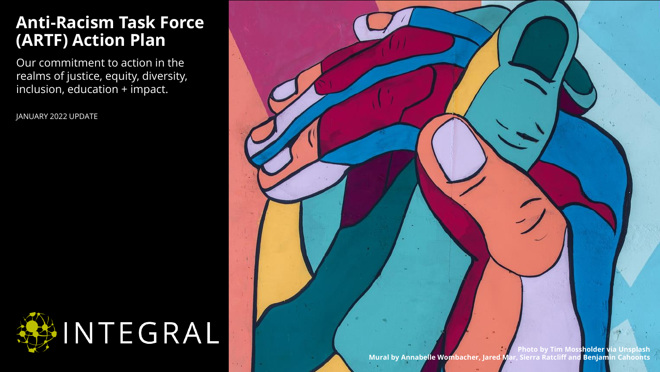### **Anti-Racism Task Force (ARTF) Action Plan**

Our commitment to action in the realms of justice, equity, diversity, inclusion, education + impact.

JANUARY 2022 UPDATE



**Photo by Tim Mossholder via Unsplash Mural by Annabelle Wombacher, Jared Mar, Sierra Ratcliff and Benjamin Cahoonts**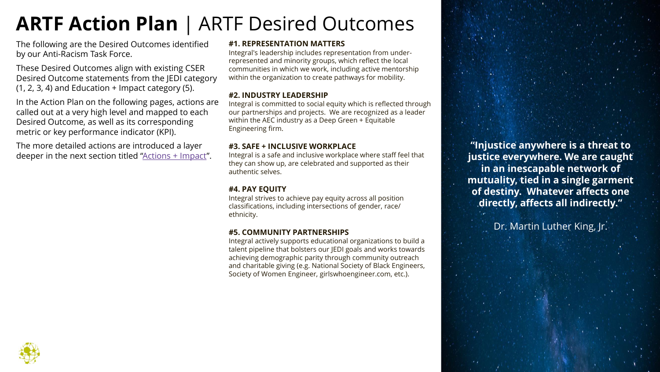### **ARTF Action Plan** | ARTF Desired Outcomes

The following are the Desired Outcomes identified by our Anti-Racism Task Force.

These Desired Outcomes align with existing CSER Desired Outcome statements from the JEDI category  $(1, 2, 3, 4)$  and Education + Impact category  $(5)$ .

In the Action Plan on the following pages, actions are called out at a very high level and mapped to each Desired Outcome, as well as its corresponding metric or key performance indicator (KPI).

The more detailed actions are introduced a layer deeper in the next section titled "[Actions + Impact](#page-7-0)".

#### **#1. REPRESENTATION MATTERS**

Integral's leadership includes representation from underrepresented and minority groups, which reflect the local communities in which we work, including active mentorship within the organization to create pathways for mobility.

#### **#2. INDUSTRY LEADERSHIP**

Integral is committed to social equity which is reflected through our partnerships and projects. We are recognized as a leader within the AEC industry as a Deep Green + Equitable Engineering firm.

#### **#3. SAFE + INCLUSIVE WORKPLACE**

Integral is a safe and inclusive workplace where staff feel that they can show up, are celebrated and supported as their authentic selves.

#### **#4. PAY EQUITY**

Integral strives to achieve pay equity across all position classifications, including intersections of gender, race/ ethnicity.

#### **#5. COMMUNITY PARTNERSHIPS**

Integral actively supports educational organizations to build a talent pipeline that bolsters our JEDI goals and works towards achieving demographic parity through community outreach and charitable giving (e.g. National Society of Black Engineers, Society of Women Engineer, girlswhoengineer.com, etc.).

**"Injustice anywhere is a threat to justice everywhere. We are caught in an inescapable network of mutuality, tied in a single garment of destiny. Whatever affects one directly, affects all indirectly."** 

Dr. Martin Luther King, Jr.

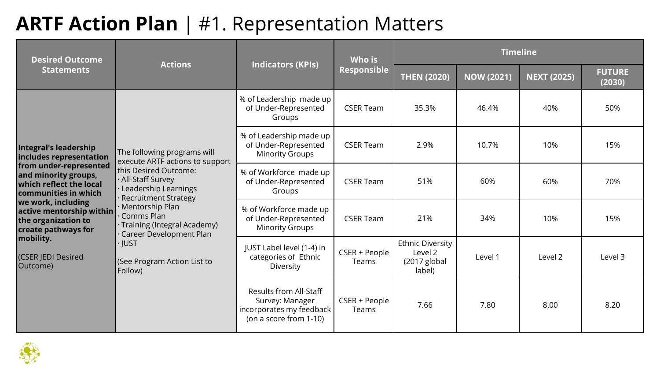### **ARTF Action Plan** | #1. Representation Matters

| <b>Desired Outcome</b>                                                                                                                                                                                                                                                                       | <b>Actions</b>                                                                                 |                                                                                                        | Who is                 |                                                                | <b>Timeline</b>    |                         |         |
|----------------------------------------------------------------------------------------------------------------------------------------------------------------------------------------------------------------------------------------------------------------------------------------------|------------------------------------------------------------------------------------------------|--------------------------------------------------------------------------------------------------------|------------------------|----------------------------------------------------------------|--------------------|-------------------------|---------|
| <b>Statements</b>                                                                                                                                                                                                                                                                            | <b>Indicators (KPIs)</b>                                                                       | Responsible                                                                                            | <b>THEN (2020)</b>     | <b>NOW (2021)</b>                                              | <b>NEXT (2025)</b> | <b>FUTURE</b><br>(2030) |         |
| Integral's leadership<br>The following programs will<br>includes representation<br>execute ARTF actions to support<br>from under-represented<br>this Desired Outcome:<br>and minority groups,<br>All-Staff Survey<br>which reflect the local<br>Leadership Learnings<br>communities in which | % of Leadership made up<br>of Under-Represented<br>Groups                                      | <b>CSER Team</b>                                                                                       | 35.3%                  | 46.4%                                                          | 40%                | 50%                     |         |
|                                                                                                                                                                                                                                                                                              |                                                                                                | % of Leadership made up<br>of Under-Represented<br><b>Minority Groups</b>                              | <b>CSER Team</b>       | 2.9%                                                           | 10.7%              | 10%                     | 15%     |
|                                                                                                                                                                                                                                                                                              | <b>Recruitment Strategy</b>                                                                    | % of Workforce made up<br>of Under-Represented<br>Groups                                               | <b>CSER Team</b>       | 51%                                                            | 60%                | 60%                     | 70%     |
| we work, including<br>$ $ active mentorship within<br>the organization to<br>create pathways for                                                                                                                                                                                             | Mentorship Plan<br>Comms Plan<br><b>Training (Integral Academy)</b><br>Career Development Plan | % of Workforce made up<br>of Under-Represented<br><b>Minority Groups</b>                               | <b>CSER Team</b>       | 21%                                                            | 34%                | 10%                     | 15%     |
| mobility.<br>· JUST<br>(CSER JEDI Desired<br>(See Program Action List to<br>Outcome)<br>Follow)                                                                                                                                                                                              |                                                                                                | JUST Label level (1-4) in<br>categories of Ethnic<br>Diversity                                         | CSER + People<br>Teams | <b>Ethnic Diversity</b><br>Level 2<br>$(2017$ global<br>label) | Level 1            | Level 2                 | Level 3 |
|                                                                                                                                                                                                                                                                                              |                                                                                                | <b>Results from All-Staff</b><br>Survey: Manager<br>incorporates my feedback<br>(on a score from 1-10) | CSER + People<br>Teams | 7.66                                                           | 7.80               | 8.00                    | 8.20    |

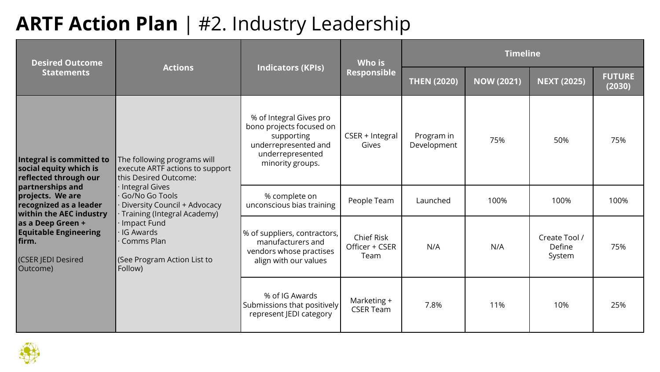### **ARTF Action Plan** | #2. Industry Leadership

| <b>Desired Outcome</b>                                                                                                                                                                                                                                                                                       | <b>Actions</b>                                                                                                                                             | <b>Indicators (KPIs)</b>                                                                              | Who is                                      | <b>Timeline</b>   |                    |                                   |      |  |
|--------------------------------------------------------------------------------------------------------------------------------------------------------------------------------------------------------------------------------------------------------------------------------------------------------------|------------------------------------------------------------------------------------------------------------------------------------------------------------|-------------------------------------------------------------------------------------------------------|---------------------------------------------|-------------------|--------------------|-----------------------------------|------|--|
| <b>Statements</b>                                                                                                                                                                                                                                                                                            |                                                                                                                                                            | Responsible                                                                                           | <b>THEN (2020)</b>                          | <b>NOW (2021)</b> | <b>NEXT (2025)</b> | <b>FUTURE</b><br>(2030)           |      |  |
| Integral is committed to<br>The following programs will<br>social equity which is<br>execute ARTF actions to support<br>reflected through our<br>this Desired Outcome:<br>partnerships and<br>Integral Gives<br>projects. We are<br>Go/No Go Tools<br>recognized as a leader<br>Diversity Council + Advocacy | % of Integral Gives pro<br>bono projects focused on<br>supporting<br>underrepresented and<br>underrepresented<br>minority groups.                          | CSER + Integral<br>Gives                                                                              | Program in<br>Development                   | 75%               | 50%                | 75%                               |      |  |
|                                                                                                                                                                                                                                                                                                              |                                                                                                                                                            | % complete on<br>unconscious bias training                                                            | People Team                                 | Launched          | 100%               | 100%                              | 100% |  |
| as a Deep Green +<br><b>Equitable Engineering</b><br>firm.<br>(CSER JEDI Desired<br>Outcome)                                                                                                                                                                                                                 | <b>within the AEC industry</b><br>· Training (Integral Academy)<br>Impact Fund<br><b>IG Awards</b><br>Comms Plan<br>(See Program Action List to<br>Follow) | % of suppliers, contractors,<br>manufacturers and<br>vendors whose practises<br>align with our values | <b>Chief Risk</b><br>Officer + CSER<br>Team | N/A               | N/A                | Create Tool /<br>Define<br>System | 75%  |  |
|                                                                                                                                                                                                                                                                                                              |                                                                                                                                                            | % of IG Awards<br>Submissions that positively<br>represent JEDI category                              | Marketing +<br><b>CSER Team</b>             | 7.8%              | 11%                | 10%                               | 25%  |  |

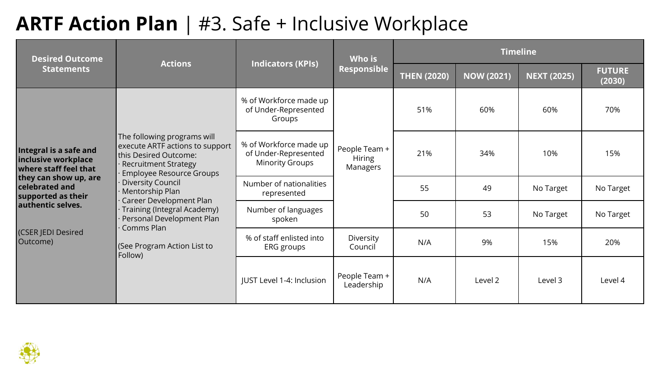### **ARTF Action Plan** | #3. Safe + Inclusive Workplace

| <b>Desired Outcome</b>                                                                                                                                                                                                                                                                                                                                     |                                                                                                     |                                                                          | Who is                                     | <b>Timeline</b>    |                   |                    |                         |  |
|------------------------------------------------------------------------------------------------------------------------------------------------------------------------------------------------------------------------------------------------------------------------------------------------------------------------------------------------------------|-----------------------------------------------------------------------------------------------------|--------------------------------------------------------------------------|--------------------------------------------|--------------------|-------------------|--------------------|-------------------------|--|
| <b>Statements</b>                                                                                                                                                                                                                                                                                                                                          | <b>Actions</b>                                                                                      | <b>Indicators (KPIs)</b>                                                 | Responsible                                | <b>THEN (2020)</b> | <b>NOW (2021)</b> | <b>NEXT (2025)</b> | <b>FUTURE</b><br>(2030) |  |
| The following programs will<br>execute ARTF actions to support<br>Integral is a safe and<br>this Desired Outcome:<br>inclusive workplace<br><b>Recruitment Strategy</b><br>where staff feel that<br><b>Employee Resource Groups</b><br>they can show up, are<br><b>Diversity Council</b><br><b>celebrated</b> and<br>Mentorship Plan<br>supported as their | % of Workforce made up<br>of Under-Represented<br>Groups                                            |                                                                          | 51%                                        | 60%                | 60%               | 70%                |                         |  |
|                                                                                                                                                                                                                                                                                                                                                            |                                                                                                     | % of Workforce made up<br>of Under-Represented<br><b>Minority Groups</b> | People Team +<br><b>Hiring</b><br>Managers | 21%                | 34%               | 10%                | 15%                     |  |
|                                                                                                                                                                                                                                                                                                                                                            |                                                                                                     | Number of nationalities<br>represented                                   |                                            | 55                 | 49                | No Target          | No Target               |  |
| authentic selves.                                                                                                                                                                                                                                                                                                                                          | Career Development Plan<br>Training (Integral Academy)<br>Personal Development Plan<br>· Comms Plan | Number of languages<br>spoken                                            |                                            | 50                 | 53                | No Target          | No Target               |  |
| (CSER JEDI Desired<br>Outcome)<br>(See Program Action List to<br>Follow)                                                                                                                                                                                                                                                                                   |                                                                                                     | % of staff enlisted into<br>ERG groups                                   | Diversity<br>Council                       | N/A                | 9%                | 15%                | 20%                     |  |
|                                                                                                                                                                                                                                                                                                                                                            |                                                                                                     | JUST Level 1-4: Inclusion                                                | People Team +<br>Leadership                | N/A                | Level 2           | Level 3            | Level 4                 |  |

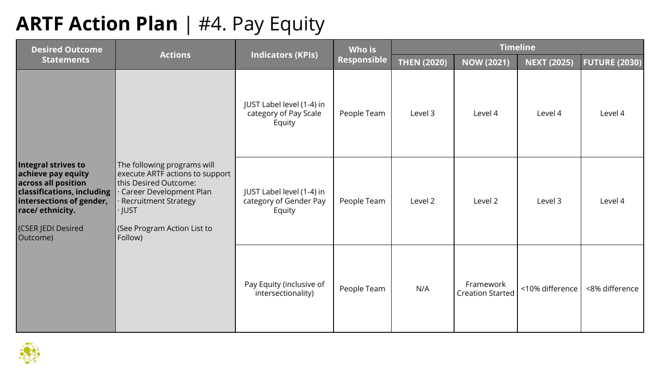### **ARTF Action Plan** | #4. Pay Equity

| <b>Desired Outcome</b>                                                                                                                                                          | <b>Actions</b>                                                                                                                                                                                        | Who is<br><b>Indicators (KPIs)</b>                            |             |                    |                                      | <b>Timeline</b>    |                      |
|---------------------------------------------------------------------------------------------------------------------------------------------------------------------------------|-------------------------------------------------------------------------------------------------------------------------------------------------------------------------------------------------------|---------------------------------------------------------------|-------------|--------------------|--------------------------------------|--------------------|----------------------|
| <b>Statements</b>                                                                                                                                                               |                                                                                                                                                                                                       |                                                               | Responsible | <b>THEN (2020)</b> | <b>NOW (2021)</b>                    | <b>NEXT (2025)</b> | <b>FUTURE (2030)</b> |
|                                                                                                                                                                                 |                                                                                                                                                                                                       | JUST Label level (1-4) in<br>category of Pay Scale<br>Equity  | People Team | Level 3            | Level 4                              | Level 4            | Level 4              |
| Integral strives to<br>achieve pay equity<br>across all position<br>classifications, including<br>intersections of gender,<br>race/ethnicity.<br>(CSER JEDI Desired<br>Outcome) | The following programs will<br>execute ARTF actions to support<br>this Desired Outcome:<br>Career Development Plan<br><b>Recruitment Strategy</b><br>· JUST<br>(See Program Action List to<br>Follow) | JUST Label level (1-4) in<br>category of Gender Pay<br>Equity | People Team | Level 2            | Level 2                              | Level 3            | Level 4              |
|                                                                                                                                                                                 |                                                                                                                                                                                                       | Pay Equity (inclusive of<br>intersectionality)                | People Team | N/A                | Framework<br><b>Creation Started</b> | <10% difference    | <8% difference       |

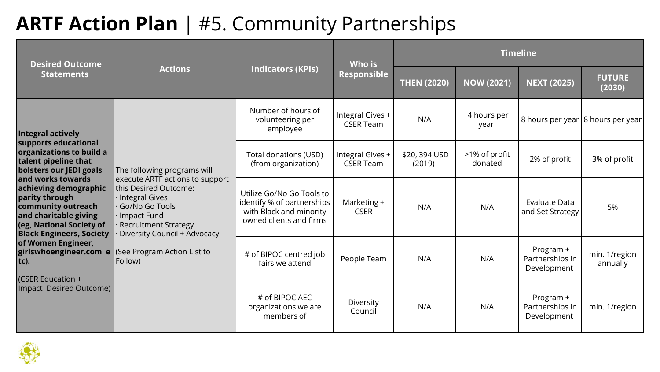### **ARTF Action Plan** | #5. Community Partnerships

| <b>Desired Outcome</b>                                                                                                                                                                                                                                                                                                       |                                        |                                                                                                               | <b>Timeline</b><br><b>Who is</b>     |                         |                          |                                             |                           |  |  |
|------------------------------------------------------------------------------------------------------------------------------------------------------------------------------------------------------------------------------------------------------------------------------------------------------------------------------|----------------------------------------|---------------------------------------------------------------------------------------------------------------|--------------------------------------|-------------------------|--------------------------|---------------------------------------------|---------------------------|--|--|
| <b>Statements</b>                                                                                                                                                                                                                                                                                                            | <b>Actions</b>                         | <b>Indicators (KPIs)</b>                                                                                      | Responsible                          | <b>THEN (2020)</b>      | <b>NOW (2021)</b>        | <b>NEXT (2025)</b>                          | <b>FUTURE</b><br>(2030)   |  |  |
| Integral actively                                                                                                                                                                                                                                                                                                            |                                        | Number of hours of<br>volunteering per<br>employee                                                            | Integral Gives +<br><b>CSER Team</b> | N/A                     | 4 hours per<br>year      | 8 hours per year 8 hours per year           |                           |  |  |
| supports educational<br>organizations to build a<br>talent pipeline that<br>bolsters our JEDI goals                                                                                                                                                                                                                          | The following programs will            | Total donations (USD)<br>(from organization)                                                                  | Integral Gives +<br><b>CSER Team</b> | \$20, 394 USD<br>(2019) | >1% of profit<br>donated | 2% of profit                                | 3% of profit              |  |  |
| and works towards<br>execute ARTF actions to support<br>this Desired Outcome:<br>achieving demographic<br>Integral Gives<br>parity through<br>community outreach<br>Go/No Go Tools<br>and charitable giving<br>Impact Fund<br>$\log$ , National Society of<br><b>Recruitment Strategy</b><br><b>Black Engineers, Society</b> | Diversity Council + Advocacy           | Utilize Go/No Go Tools to<br>identify % of partnerships<br>with Black and minority<br>owned clients and firms | Marketing +<br><b>CSER</b>           | N/A                     | N/A                      | <b>Evaluate Data</b><br>and Set Strategy    | 5%                        |  |  |
| of Women Engineer,<br>girlswhoengineer.com e<br>$\mathsf{tc}.$<br>(CSER Education +                                                                                                                                                                                                                                          | (See Program Action List to<br>Follow) | # of BIPOC centred job<br>fairs we attend                                                                     | People Team                          | N/A                     | N/A                      | Program +<br>Partnerships in<br>Development | min. 1/region<br>annually |  |  |
| Impact Desired Outcome)                                                                                                                                                                                                                                                                                                      |                                        | # of BIPOC AEC<br>organizations we are<br>members of                                                          | Diversity<br>Council                 | N/A                     | N/A                      | Program +<br>Partnerships in<br>Development | min. 1/region             |  |  |

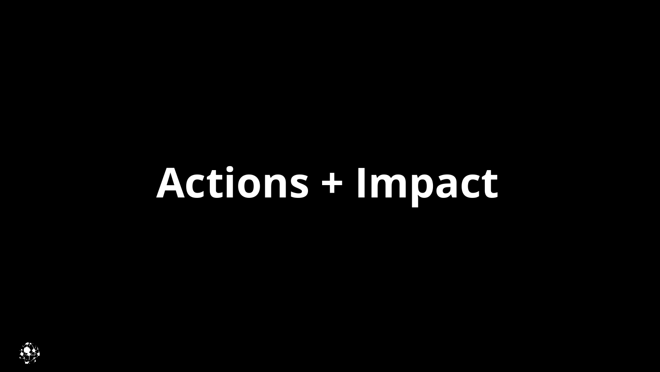# <span id="page-7-0"></span>**Actions + Impact**

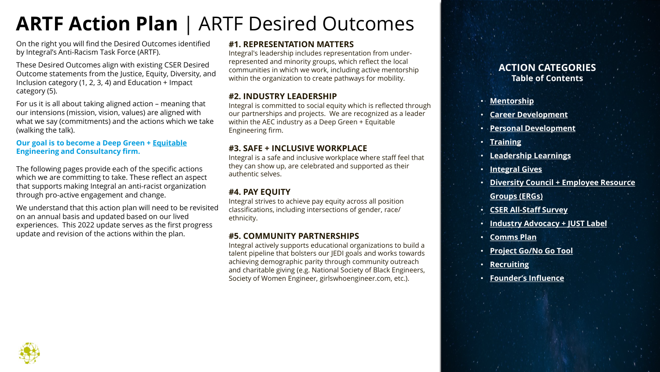## **ARTF Action Plan** | ARTF Desired Outcomes

On the right you will find the Desired Outcomes identified by Integral's Anti-Racism Task Force (ARTF).

These Desired Outcomes align with existing CSER Desired Outcome statements from the Justice, Equity, Diversity, and Inclusion category (1, 2, 3, 4) and Education + Impact category (5).

For us it is all about taking aligned action – meaning that our intensions (mission, vision, values) are aligned with what we say (commitments) and the actions which we take (walking the talk).

#### **Our goal is to become a Deep Green + Equitable Engineering and Consultancy firm.**

The following pages provide each of the specific actions which we are committing to take. These reflect an aspect that supports making Integral an anti-racist organization through pro-active engagement and change.

We understand that this action plan will need to be revisited on an annual basis and updated based on our lived experiences. This 2022 update serves as the first progress update and revision of the actions within the plan.

#### **#1. REPRESENTATION MATTERS**

Integral's leadership includes representation from underrepresented and minority groups, which reflect the local communities in which we work, including active mentorship within the organization to create pathways for mobility.

#### **#2. INDUSTRY LEADERSHIP**

Integral is committed to social equity which is reflected through our partnerships and projects. We are recognized as a leader within the AEC industry as a Deep Green + Equitable Engineering firm.

#### **#3. SAFE + INCLUSIVE WORKPLACE**

Integral is a safe and inclusive workplace where staff feel that they can show up, are celebrated and supported as their authentic selves.

#### **#4. PAY EQUITY**

Integral strives to achieve pay equity across all position classifications, including intersections of gender, race/ ethnicity.

#### **#5. COMMUNITY PARTNERSHIPS**

Integral actively supports educational organizations to build a talent pipeline that bolsters our JEDI goals and works towards achieving demographic parity through community outreach and charitable giving (e.g. National Society of Black Engineers, Society of Women Engineer, girlswhoengineer.com, etc.).

#### **ACTION CATEGORIES Table of Contents**

- **[Mentorship](https://integralgroup2.sharepoint.com/:p:/s/IGsAnti-RacismTaskforce/EZGPbCVQ1KtOrIqp5rtYDbgBwIJyDeiXYVYJ4t6IIZvSag?e=PoW3aa&nav=eyJzSWQiOjEwMjQsImNJZCI6NDA5OTcxMDg0N30)**
- **[Career Development](https://integralgroup2.sharepoint.com/:p:/s/IGsAnti-RacismTaskforce/EZGPbCVQ1KtOrIqp5rtYDbgBwIJyDeiXYVYJ4t6IIZvSag?e=NhtVGN&nav=eyJzSWQiOjEwMjUsImNJZCI6MjU2NTEzMTcxfQ)**
- **[Personal Development](https://integralgroup2.sharepoint.com/:p:/s/IGsAnti-RacismTaskforce/EZGPbCVQ1KtOrIqp5rtYDbgBwIJyDeiXYVYJ4t6IIZvSag?e=KScy6M&nav=eyJzSWQiOjEwMjYsImNJZCI6NTI1NTQ2OTM1fQ)**
- **[Training](https://integralgroup2.sharepoint.com/:p:/s/IGsAnti-RacismTaskforce/EZGPbCVQ1KtOrIqp5rtYDbgBwIJyDeiXYVYJ4t6IIZvSag?e=6yYjVd&nav=eyJzSWQiOjEwMjcsImNJZCI6Mzk0MjQzMjgwN30)**
- **[Leadership Learnings](https://integralgroup2.sharepoint.com/:p:/s/IGsAnti-RacismTaskforce/EZGPbCVQ1KtOrIqp5rtYDbgBwIJyDeiXYVYJ4t6IIZvSag?e=yZtpaH&nav=eyJzSWQiOjEwMjgsImNJZCI6NDE3OTA3NDEyOH0)**
- **[Integral Gives](https://integralgroup2.sharepoint.com/:p:/s/IGsAnti-RacismTaskforce/EZGPbCVQ1KtOrIqp5rtYDbgBwIJyDeiXYVYJ4t6IIZvSag?e=luam6U&nav=eyJzSWQiOjEwMjksImNJZCI6MjE1NjQwODU2M30)**
- **[Diversity Council + Employee Resource](https://integralgroup2.sharepoint.com/:p:/s/IGsAnti-RacismTaskforce/EZGPbCVQ1KtOrIqp5rtYDbgBwIJyDeiXYVYJ4t6IIZvSag?e=m7Rb8a&nav=eyJzSWQiOjEwMzMsImNJZCI6NTM4NDcyOTl9)  Groups (ERGs)**
- **[CSER All-Staff Survey](https://integralgroup2.sharepoint.com/:p:/s/IGsAnti-RacismTaskforce/EZGPbCVQ1KtOrIqp5rtYDbgBwIJyDeiXYVYJ4t6IIZvSag?e=MIKgr4&nav=eyJzSWQiOjEwMzUsImNJZCI6NDA5MDQ2ODMyMX0)**
- **[Industry Advocacy + JUST Label](https://integralgroup2.sharepoint.com/:p:/s/IGsAnti-RacismTaskforce/EZGPbCVQ1KtOrIqp5rtYDbgBwIJyDeiXYVYJ4t6IIZvSag?e=Bpt4r7&nav=eyJzSWQiOjEwMzYsImNJZCI6OTQzMzQ1NTgyfQ)**
- **[Comms Plan](https://integralgroup2.sharepoint.com/:p:/s/IGsAnti-RacismTaskforce/EZGPbCVQ1KtOrIqp5rtYDbgBwIJyDeiXYVYJ4t6IIZvSag?e=DZ8Uuj&nav=eyJzSWQiOjEwMzgsImNJZCI6NjEwOTY0NDg1fQ)**
- **[Project Go/No Go Tool](https://integralgroup2.sharepoint.com/:p:/s/IGsAnti-RacismTaskforce/EZGPbCVQ1KtOrIqp5rtYDbgBwIJyDeiXYVYJ4t6IIZvSag?e=n6GNJQ&nav=eyJzSWQiOjEwMzksImNJZCI6MzY2NDU4MjgzNn0)**
- **[Recruiting](https://integralgroup2.sharepoint.com/:p:/s/IGsAnti-RacismTaskforce/EZGPbCVQ1KtOrIqp5rtYDbgBwIJyDeiXYVYJ4t6IIZvSag?e=JKMTbA&nav=eyJzSWQiOjEwNDAsImNJZCI6NDI4ODAwNjc0Mn0)**
- **[Founder's Influence](https://integralgroup2.sharepoint.com/:p:/s/IGsAnti-RacismTaskforce/EZGPbCVQ1KtOrIqp5rtYDbgBwIJyDeiXYVYJ4t6IIZvSag?e=P00Yl6&nav=eyJzSWQiOjEwNDEsImNJZCI6MjU5NjE5MjE2OX0)**

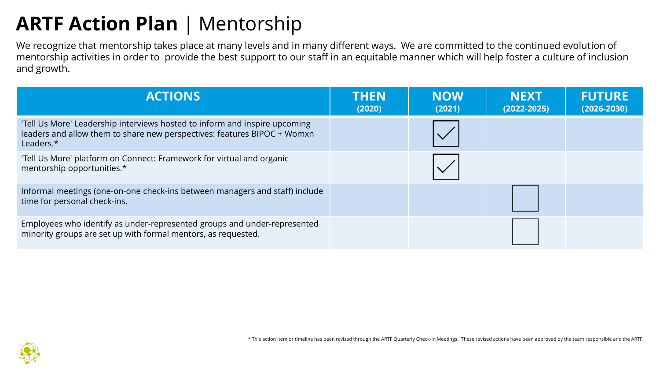## **ARTF Action Plan** | Mentorship

We recognize that mentorship takes place at many levels and in many different ways. We are committed to the continued evolution of mentorship activities in order to provide the best support to our staff in an equitable manner which will help foster a culture of inclusion and growth.

| <b>ACTIONS</b>                                                                                                                                                      | <b>THEN</b><br>(2020) | <b>NOW</b><br>(2021) | <b>NEXT</b><br>$(2022 - 2025)$ | <b>FUTURE</b><br>$(2026 - 2030)$ |
|---------------------------------------------------------------------------------------------------------------------------------------------------------------------|-----------------------|----------------------|--------------------------------|----------------------------------|
| 'Tell Us More' Leadership interviews hosted to inform and inspire upcoming<br>leaders and allow them to share new perspectives: features BIPOC + Womxn<br>Leaders.* |                       |                      |                                |                                  |
| 'Tell Us More' platform on Connect: Framework for virtual and organic<br>mentorship opportunities.*                                                                 |                       |                      |                                |                                  |
| Informal meetings (one-on-one check-ins between managers and staff) include<br>time for personal check-ins.                                                         |                       |                      |                                |                                  |
| Employees who identify as under-represented groups and under-represented<br>minority groups are set up with formal mentors, as requested.                           |                       |                      |                                |                                  |

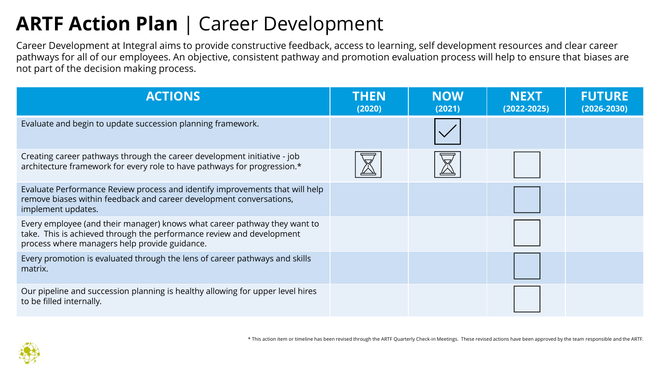### **ARTF Action Plan** | Career Development

Career Development at Integral aims to provide constructive feedback, access to learning, self development resources and clear career pathways for all of our employees. An objective, consistent pathway and promotion evaluation process will help to ensure that biases are not part of the decision making process.

| <b>ACTIONS</b>                                                                                                                                                                                      | <b>THEN</b><br>(2020) | <b>NOW</b><br>(2021) | <b>NEXT</b><br>$(2022 - 2025)$ | <b>FUTURE</b><br>$(2026 - 2030)$ |
|-----------------------------------------------------------------------------------------------------------------------------------------------------------------------------------------------------|-----------------------|----------------------|--------------------------------|----------------------------------|
| Evaluate and begin to update succession planning framework.                                                                                                                                         |                       |                      |                                |                                  |
| Creating career pathways through the career development initiative - job<br>architecture framework for every role to have pathways for progression.*                                                |                       |                      |                                |                                  |
| Evaluate Performance Review process and identify improvements that will help<br>remove biases within feedback and career development conversations,<br>implement updates.                           |                       |                      |                                |                                  |
| Every employee (and their manager) knows what career pathway they want to<br>take. This is achieved through the performance review and development<br>process where managers help provide guidance. |                       |                      |                                |                                  |
| Every promotion is evaluated through the lens of career pathways and skills<br>matrix.                                                                                                              |                       |                      |                                |                                  |
| Our pipeline and succession planning is healthy allowing for upper level hires<br>to be filled internally.                                                                                          |                       |                      |                                |                                  |

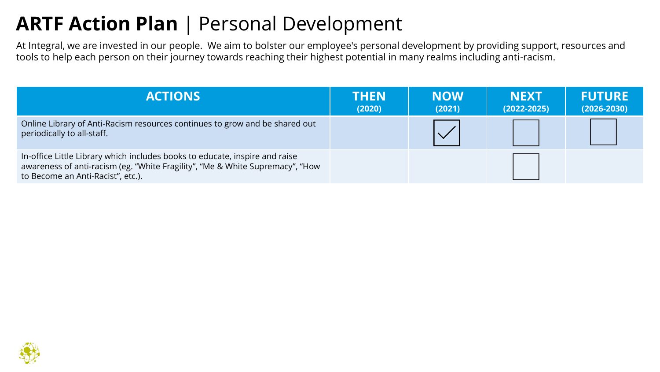### **ARTF Action Plan** | Personal Development

At Integral, we are invested in our people. We aim to bolster our employee's personal development by providing support, resources and tools to help each person on their journey towards reaching their highest potential in many realms including anti-racism.

| <b>ACTIONS</b>                                                                                                                                                                                    | <b>THEN</b><br>(2020) | <b>NOW</b><br>(2021) | <b>NEXT</b><br>$(2022 - 2025)$ | <b>FUTURE</b><br>$(2026 - 2030)$ |
|---------------------------------------------------------------------------------------------------------------------------------------------------------------------------------------------------|-----------------------|----------------------|--------------------------------|----------------------------------|
| Online Library of Anti-Racism resources continues to grow and be shared out<br>periodically to all-staff.                                                                                         |                       |                      |                                |                                  |
| In-office Little Library which includes books to educate, inspire and raise<br>awareness of anti-racism (eg. "White Fragility", "Me & White Supremacy", "How<br>to Become an Anti-Racist", etc.). |                       |                      |                                |                                  |

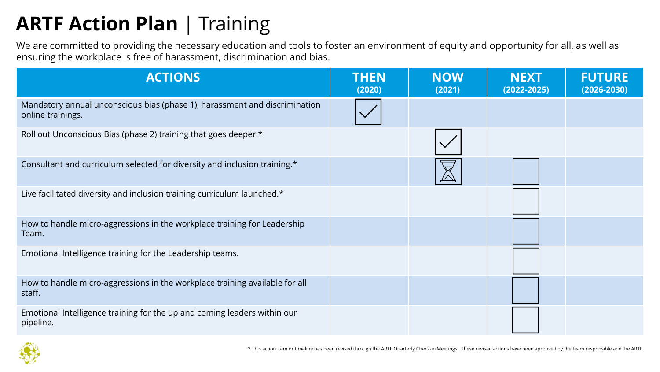## **ARTF Action Plan** | Training

We are committed to providing the necessary education and tools to foster an environment of equity and opportunity for all, as well as ensuring the workplace is free of harassment, discrimination and bias.

| <b>ACTIONS</b>                                                                                  | <b>THEN</b><br>(2020) | <b>NOW</b><br>(2021) | <b>NEXT</b><br>$(2022 - 2025)$ | <b>FUTURE</b><br>$(2026 - 2030)$ |
|-------------------------------------------------------------------------------------------------|-----------------------|----------------------|--------------------------------|----------------------------------|
| Mandatory annual unconscious bias (phase 1), harassment and discrimination<br>online trainings. |                       |                      |                                |                                  |
| Roll out Unconscious Bias (phase 2) training that goes deeper.*                                 |                       |                      |                                |                                  |
| Consultant and curriculum selected for diversity and inclusion training.*                       |                       |                      |                                |                                  |
| Live facilitated diversity and inclusion training curriculum launched.*                         |                       |                      |                                |                                  |
| How to handle micro-aggressions in the workplace training for Leadership<br>Team.               |                       |                      |                                |                                  |
| Emotional Intelligence training for the Leadership teams.                                       |                       |                      |                                |                                  |
| How to handle micro-aggressions in the workplace training available for all<br>staff.           |                       |                      |                                |                                  |
| Emotional Intelligence training for the up and coming leaders within our<br>pipeline.           |                       |                      |                                |                                  |

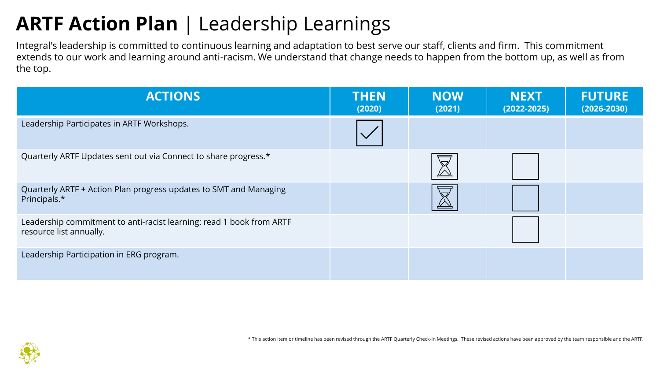### **ARTF Action Plan** | Leadership Learnings

Integral's leadership is committed to continuous learning and adaptation to best serve our staff, clients and firm. This commitment extends to our work and learning around anti-racism. We understand that change needs to happen from the bottom up, as well as from the top.

| <b>ACTIONS</b>                                                                                  | <b>THEN</b><br>(2020) | <b>NOW</b><br>(2021) | <b>NEXT</b><br>$(2022 - 2025)$ | <b>FUTURE</b><br>$(2026 - 2030)$ |
|-------------------------------------------------------------------------------------------------|-----------------------|----------------------|--------------------------------|----------------------------------|
| Leadership Participates in ARTF Workshops.                                                      |                       |                      |                                |                                  |
| Quarterly ARTF Updates sent out via Connect to share progress.*                                 |                       | $\triangledown$      |                                |                                  |
| Quarterly ARTF + Action Plan progress updates to SMT and Managing<br>Principals.*               |                       | ∨                    |                                |                                  |
| Leadership commitment to anti-racist learning: read 1 book from ARTF<br>resource list annually. |                       |                      |                                |                                  |
| Leadership Participation in ERG program.                                                        |                       |                      |                                |                                  |

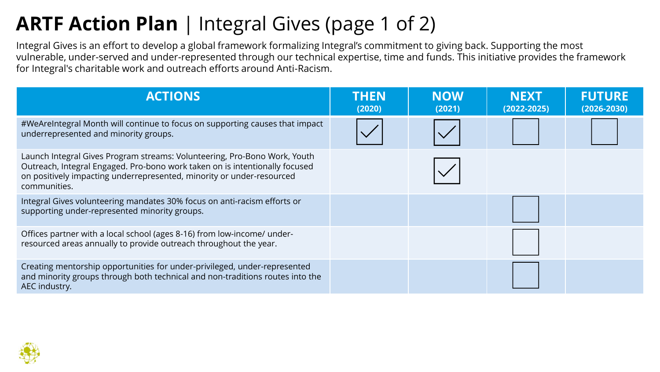## **ARTF Action Plan** | Integral Gives (page 1 of 2)

Integral Gives is an effort to develop a global framework formalizing Integral's commitment to giving back. Supporting the most vulnerable, under-served and under-represented through our technical expertise, time and funds. This initiative provides the framework for Integral's charitable work and outreach efforts around Anti-Racism.

| <b>ACTIONS</b>                                                                                                                                                                                                                                    | <b>THEN</b><br>(2020) | <b>NOW</b><br>(2021) | <b>NEXT</b><br>$(2022 - 2025)$ | <b>FUTURE</b><br>$(2026 - 2030)$ |
|---------------------------------------------------------------------------------------------------------------------------------------------------------------------------------------------------------------------------------------------------|-----------------------|----------------------|--------------------------------|----------------------------------|
| #WeAreIntegral Month will continue to focus on supporting causes that impact<br>underrepresented and minority groups.                                                                                                                             |                       |                      |                                |                                  |
| Launch Integral Gives Program streams: Volunteering, Pro-Bono Work, Youth<br>Outreach, Integral Engaged. Pro-bono work taken on is intentionally focused<br>on positively impacting underrepresented, minority or under-resourced<br>communities. |                       |                      |                                |                                  |
| Integral Gives volunteering mandates 30% focus on anti-racism efforts or<br>supporting under-represented minority groups.                                                                                                                         |                       |                      |                                |                                  |
| Offices partner with a local school (ages 8-16) from low-income/ under-<br>resourced areas annually to provide outreach throughout the year.                                                                                                      |                       |                      |                                |                                  |
| Creating mentorship opportunities for under-privileged, under-represented<br>and minority groups through both technical and non-traditions routes into the<br>AEC industry.                                                                       |                       |                      |                                |                                  |

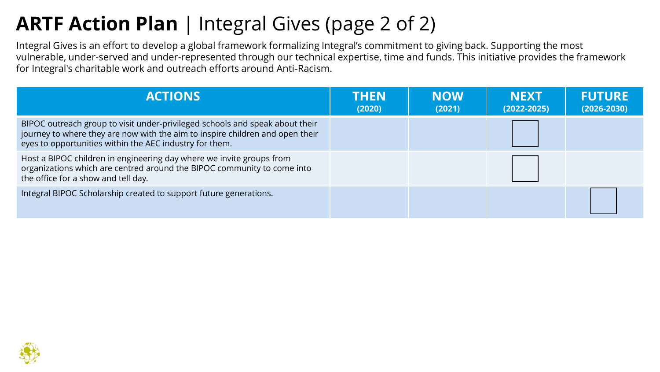### **ARTF Action Plan** | Integral Gives (page 2 of 2)

Integral Gives is an effort to develop a global framework formalizing Integral's commitment to giving back. Supporting the most vulnerable, under-served and under-represented through our technical expertise, time and funds. This initiative provides the framework for Integral's charitable work and outreach efforts around Anti-Racism.

| <b>ACTIONS</b>                                                                                                                                                                                                           | <b>THEN</b><br>(2020) | <b>NOW</b><br>(2021) | <b>NEXT</b><br>$(2022 - 2025)$ | <b>FUTURE</b><br>$(2026 - 2030)$ |
|--------------------------------------------------------------------------------------------------------------------------------------------------------------------------------------------------------------------------|-----------------------|----------------------|--------------------------------|----------------------------------|
| BIPOC outreach group to visit under-privileged schools and speak about their<br>journey to where they are now with the aim to inspire children and open their<br>eyes to opportunities within the AEC industry for them. |                       |                      |                                |                                  |
| Host a BIPOC children in engineering day where we invite groups from<br>organizations which are centred around the BIPOC community to come into<br>the office for a show and tell day.                                   |                       |                      |                                |                                  |
| Integral BIPOC Scholarship created to support future generations.                                                                                                                                                        |                       |                      |                                |                                  |

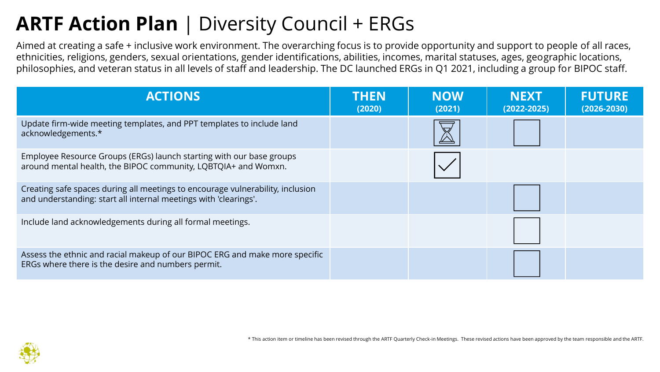### **ARTF Action Plan** | Diversity Council + ERGs

Aimed at creating a safe + inclusive work environment. The overarching focus is to provide opportunity and support to people of all races, ethnicities, religions, genders, sexual orientations, gender identifications, abilities, incomes, marital statuses, ages, geographic locations, philosophies, and veteran status in all levels of staff and leadership. The DC launched ERGs in Q1 2021, including a group for BIPOC staff.

| <b>ACTIONS</b>                                                                                                                                     | <b>THEN</b><br>(2020) | <b>NOW</b><br>(2021) | <b>NEXT</b><br>$(2022 - 2025)$ | <b>FUTURE</b><br>$(2026 - 2030)$ |
|----------------------------------------------------------------------------------------------------------------------------------------------------|-----------------------|----------------------|--------------------------------|----------------------------------|
| Update firm-wide meeting templates, and PPT templates to include land<br>acknowledgements.*                                                        |                       |                      |                                |                                  |
| Employee Resource Groups (ERGs) launch starting with our base groups<br>around mental health, the BIPOC community, LQBTQIA+ and Womxn.             |                       |                      |                                |                                  |
| Creating safe spaces during all meetings to encourage vulnerability, inclusion<br>and understanding: start all internal meetings with 'clearings'. |                       |                      |                                |                                  |
| Include land acknowledgements during all formal meetings.                                                                                          |                       |                      |                                |                                  |
| Assess the ethnic and racial makeup of our BIPOC ERG and make more specific<br>ERGs where there is the desire and numbers permit.                  |                       |                      |                                |                                  |

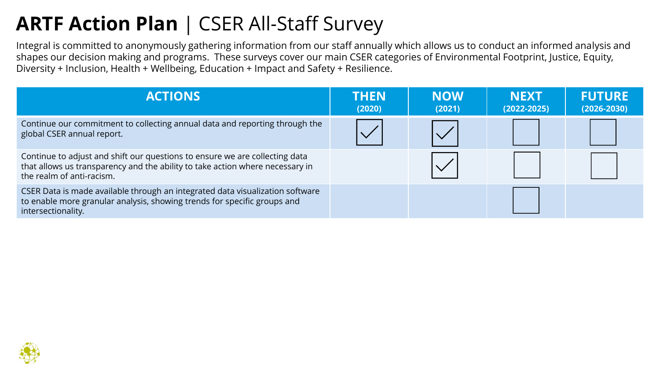### **ARTF Action Plan** | CSER All-Staff Survey

Integral is committed to anonymously gathering information from our staff annually which allows us to conduct an informed analysis and shapes our decision making and programs. These surveys cover our main CSER categories of Environmental Footprint, Justice, Equity, Diversity + Inclusion, Health + Wellbeing, Education + Impact and Safety + Resilience.

| <b>ACTIONS</b>                                                                                                                                                                            | <b>THEN</b><br>(2020) | <b>NOW</b><br>(2021) | <b>NEXT</b><br>$(2022 - 2025)$ | <b>FUTURE</b><br>$(2026 - 2030)$ |
|-------------------------------------------------------------------------------------------------------------------------------------------------------------------------------------------|-----------------------|----------------------|--------------------------------|----------------------------------|
| Continue our commitment to collecting annual data and reporting through the<br>global CSER annual report.                                                                                 |                       |                      |                                |                                  |
| Continue to adjust and shift our questions to ensure we are collecting data<br>that allows us transparency and the ability to take action where necessary in<br>the realm of anti-racism. |                       |                      |                                |                                  |
| CSER Data is made available through an integrated data visualization software<br>to enable more granular analysis, showing trends for specific groups and<br>intersectionality.           |                       |                      |                                |                                  |

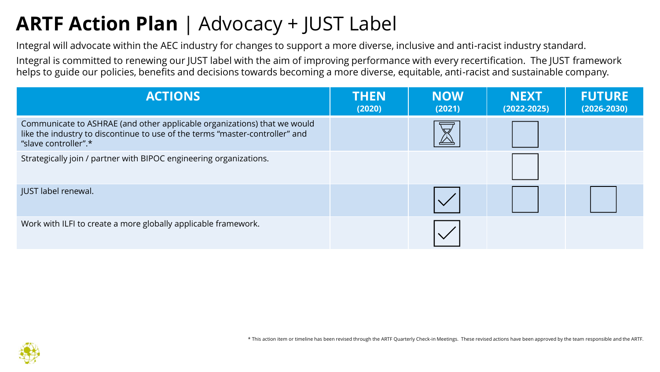## **ARTF Action Plan** | Advocacy + JUST Label

Integral will advocate within the AEC industry for changes to support a more diverse, inclusive and anti-racist industry standard.

Integral is committed to renewing our JUST label with the aim of improving performance with every recertification. The JUST framework helps to guide our policies, benefits and decisions towards becoming a more diverse, equitable, anti-racist and sustainable company.

| <b>ACTIONS</b>                                                                                                                                                                   | <b>THEN</b><br>(2020) | <b>NOW</b><br>(2021) | <b>NEXT</b><br>$(2022 - 2025)$ | <b>FUTURE</b><br>$(2026 - 2030)$ |
|----------------------------------------------------------------------------------------------------------------------------------------------------------------------------------|-----------------------|----------------------|--------------------------------|----------------------------------|
| Communicate to ASHRAE (and other applicable organizations) that we would<br>like the industry to discontinue to use of the terms "master-controller" and<br>"slave controller".* |                       |                      |                                |                                  |
| Strategically join / partner with BIPOC engineering organizations.                                                                                                               |                       |                      |                                |                                  |
| JUST label renewal.                                                                                                                                                              |                       |                      |                                |                                  |
| Work with ILFI to create a more globally applicable framework.                                                                                                                   |                       |                      |                                |                                  |

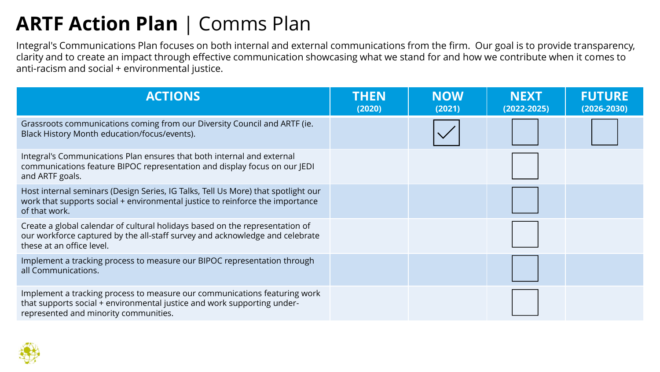### **ARTF Action Plan** | Comms Plan

Integral's Communications Plan focuses on both internal and external communications from the firm. Our goal is to provide transparency, clarity and to create an impact through effective communication showcasing what we stand for and how we contribute when it comes to anti-racism and social + environmental justice.

| <b>ACTIONS</b>                                                                                                                                                                                | <b>THEN</b><br>(2020) | <b>NOW</b><br>(2021) | <b>NEXT</b><br>$(2022 - 2025)$ | <b>FUTURE</b><br>$(2026 - 2030)$ |
|-----------------------------------------------------------------------------------------------------------------------------------------------------------------------------------------------|-----------------------|----------------------|--------------------------------|----------------------------------|
| Grassroots communications coming from our Diversity Council and ARTF (ie.<br>Black History Month education/focus/events).                                                                     |                       |                      |                                |                                  |
| Integral's Communications Plan ensures that both internal and external<br>communications feature BIPOC representation and display focus on our JEDI<br>and ARTF goals.                        |                       |                      |                                |                                  |
| Host internal seminars (Design Series, IG Talks, Tell Us More) that spotlight our<br>work that supports social + environmental justice to reinforce the importance<br>of that work.           |                       |                      |                                |                                  |
| Create a global calendar of cultural holidays based on the representation of<br>our workforce captured by the all-staff survey and acknowledge and celebrate<br>these at an office level.     |                       |                      |                                |                                  |
| Implement a tracking process to measure our BIPOC representation through<br>all Communications.                                                                                               |                       |                      |                                |                                  |
| Implement a tracking process to measure our communications featuring work<br>that supports social + environmental justice and work supporting under-<br>represented and minority communities. |                       |                      |                                |                                  |

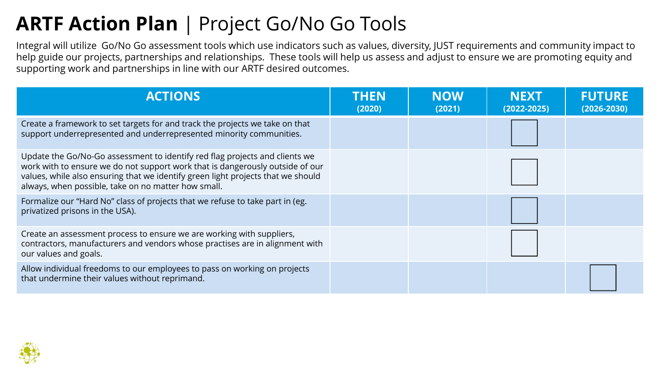### **ARTF Action Plan** | Project Go/No Go Tools

Integral will utilize Go/No Go assessment tools which use indicators such as values, diversity, JUST requirements and community impact to help guide our projects, partnerships and relationships. These tools will help us assess and adjust to ensure we are promoting equity and supporting work and partnerships in line with our ARTF desired outcomes.

| <b>ACTIONS</b>                                                                                                                                                                                                                                                                                          | <b>THEN</b><br>(2020) | <b>NOW</b><br>(2021) | <b>NEXT</b><br>$(2022 - 2025)$ | <b>FUTURE</b><br>$(2026 - 2030)$ |
|---------------------------------------------------------------------------------------------------------------------------------------------------------------------------------------------------------------------------------------------------------------------------------------------------------|-----------------------|----------------------|--------------------------------|----------------------------------|
| Create a framework to set targets for and track the projects we take on that<br>support underrepresented and underrepresented minority communities.                                                                                                                                                     |                       |                      |                                |                                  |
| Update the Go/No-Go assessment to identify red flag projects and clients we<br>work with to ensure we do not support work that is dangerously outside of our<br>values, while also ensuring that we identify green light projects that we should<br>always, when possible, take on no matter how small. |                       |                      |                                |                                  |
| Formalize our "Hard No" class of projects that we refuse to take part in (eg.<br>privatized prisons in the USA).                                                                                                                                                                                        |                       |                      |                                |                                  |
| Create an assessment process to ensure we are working with suppliers,<br>contractors, manufacturers and vendors whose practises are in alignment with<br>our values and goals.                                                                                                                          |                       |                      |                                |                                  |
| Allow individual freedoms to our employees to pass on working on projects<br>that undermine their values without reprimand.                                                                                                                                                                             |                       |                      |                                |                                  |

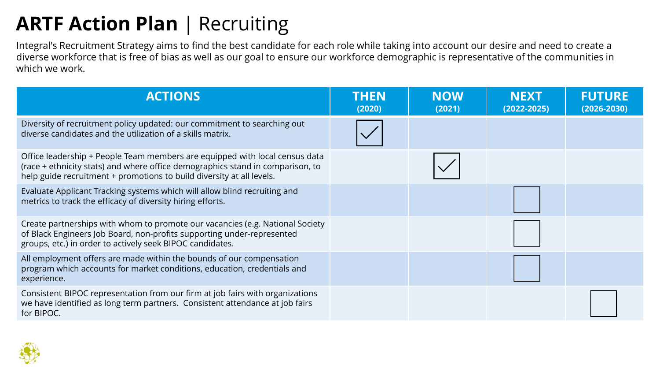## **ARTF Action Plan** | Recruiting

Integral's Recruitment Strategy aims to find the best candidate for each role while taking into account our desire and need to create a diverse workforce that is free of bias as well as our goal to ensure our workforce demographic is representative of the communities in which we work.

| <b>ACTIONS</b>                                                                                                                                                                                                                         | <b>THEN</b><br>(2020) | <b>NOW</b><br>(2021) | <b>NEXT</b><br>$(2022 - 2025)$ | <b>FUTURE</b><br>$(2026 - 2030)$ |
|----------------------------------------------------------------------------------------------------------------------------------------------------------------------------------------------------------------------------------------|-----------------------|----------------------|--------------------------------|----------------------------------|
| Diversity of recruitment policy updated: our commitment to searching out<br>diverse candidates and the utilization of a skills matrix.                                                                                                 |                       |                      |                                |                                  |
| Office leadership + People Team members are equipped with local census data<br>(race + ethnicity stats) and where office demographics stand in comparison, to<br>help guide recruitment + promotions to build diversity at all levels. |                       |                      |                                |                                  |
| Evaluate Applicant Tracking systems which will allow blind recruiting and<br>metrics to track the efficacy of diversity hiring efforts.                                                                                                |                       |                      |                                |                                  |
| Create partnerships with whom to promote our vacancies (e.g. National Society<br>of Black Engineers Job Board, non-profits supporting under-represented<br>groups, etc.) in order to actively seek BIPOC candidates.                   |                       |                      |                                |                                  |
| All employment offers are made within the bounds of our compensation<br>program which accounts for market conditions, education, credentials and<br>experience.                                                                        |                       |                      |                                |                                  |
| Consistent BIPOC representation from our firm at job fairs with organizations<br>we have identified as long term partners. Consistent attendance at job fairs<br>for BIPOC.                                                            |                       |                      |                                |                                  |